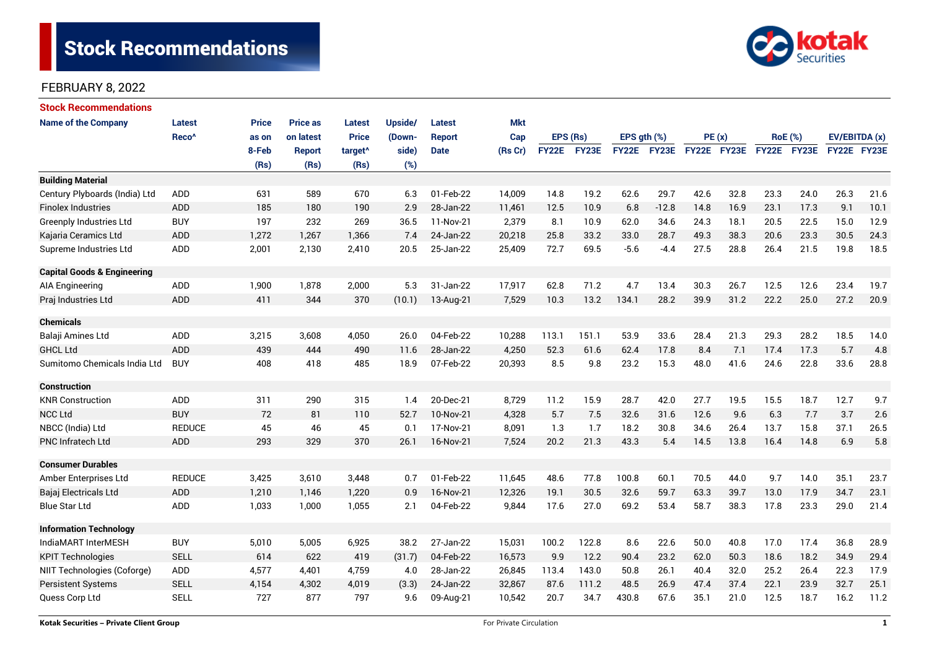

| <b>Stock Recommendations</b>           |                   |              |                 |                     |         |             |            |              |              |               |             |             |      |                |      |               |      |
|----------------------------------------|-------------------|--------------|-----------------|---------------------|---------|-------------|------------|--------------|--------------|---------------|-------------|-------------|------|----------------|------|---------------|------|
| <b>Name of the Company</b>             | <b>Latest</b>     | <b>Price</b> | <b>Price as</b> | <b>Latest</b>       | Upside/ | Latest      | <b>Mkt</b> |              |              |               |             |             |      |                |      |               |      |
|                                        | Reco <sup>^</sup> | as on        | on latest       | <b>Price</b>        | (Down-  | Report      | Cap        | EPS (Rs)     |              | EPS $qth$ $%$ |             | PE(x)       |      | <b>RoE</b> (%) |      | EV/EBITDA (x) |      |
|                                        |                   | 8-Feb        | <b>Report</b>   | target <sup>^</sup> | side)   | <b>Date</b> | (Rs Cr)    | <b>FY22E</b> | <b>FY23E</b> |               | FY22E FY23E | FY22E FY23E |      | FY22E FY23E    |      | FY22E FY23E   |      |
|                                        |                   | (Rs)         | (Rs)            | (Rs)                | (%)     |             |            |              |              |               |             |             |      |                |      |               |      |
| <b>Building Material</b>               |                   |              |                 |                     |         |             |            |              |              |               |             |             |      |                |      |               |      |
| Century Plyboards (India) Ltd          | <b>ADD</b>        | 631          | 589             | 670                 | 6.3     | 01-Feb-22   | 14,009     | 14.8         | 19.2         | 62.6          | 29.7        | 42.6        | 32.8 | 23.3           | 24.0 | 26.3          | 21.6 |
| <b>Finolex Industries</b>              | ADD               | 185          | 180             | 190                 | 2.9     | 28-Jan-22   | 11,461     | 12.5         | 10.9         | 6.8           | $-12.8$     | 14.8        | 16.9 | 23.1           | 17.3 | 9.1           | 10.1 |
| Greenply Industries Ltd                | <b>BUY</b>        | 197          | 232             | 269                 | 36.5    | 11-Nov-21   | 2,379      | 8.1          | 10.9         | 62.0          | 34.6        | 24.3        | 18.1 | 20.5           | 22.5 | 15.0          | 12.9 |
| Kajaria Ceramics Ltd                   | ADD               | 1,272        | 1,267           | 1,366               | 7.4     | 24-Jan-22   | 20,218     | 25.8         | 33.2         | 33.0          | 28.7        | 49.3        | 38.3 | 20.6           | 23.3 | 30.5          | 24.3 |
| Supreme Industries Ltd                 | ADD               | 2,001        | 2,130           | 2,410               | 20.5    | 25-Jan-22   | 25,409     | 72.7         | 69.5         | $-5.6$        | $-4.4$      | 27.5        | 28.8 | 26.4           | 21.5 | 19.8          | 18.5 |
| <b>Capital Goods &amp; Engineering</b> |                   |              |                 |                     |         |             |            |              |              |               |             |             |      |                |      |               |      |
| AIA Engineering                        | ADD               | 1,900        | 1,878           | 2,000               | 5.3     | 31-Jan-22   | 17,917     | 62.8         | 71.2         | 4.7           | 13.4        | 30.3        | 26.7 | 12.5           | 12.6 | 23.4          | 19.7 |
| Praj Industries Ltd                    | <b>ADD</b>        | 411          | 344             | 370                 | (10.1)  | 13-Aug-21   | 7,529      | 10.3         | 13.2         | 134.1         | 28.2        | 39.9        | 31.2 | 22.2           | 25.0 | 27.2          | 20.9 |
| <b>Chemicals</b>                       |                   |              |                 |                     |         |             |            |              |              |               |             |             |      |                |      |               |      |
| Balaji Amines Ltd                      | ADD               | 3,215        | 3,608           | 4,050               | 26.0    | 04-Feb-22   | 10,288     | 113.1        | 151.1        | 53.9          | 33.6        | 28.4        | 21.3 | 29.3           | 28.2 | 18.5          | 14.0 |
| <b>GHCL Ltd</b>                        | <b>ADD</b>        | 439          | 444             | 490                 | 11.6    | 28-Jan-22   | 4,250      | 52.3         | 61.6         | 62.4          | 17.8        | 8.4         | 7.1  | 17.4           | 17.3 | 5.7           | 4.8  |
| Sumitomo Chemicals India Ltd           | <b>BUY</b>        | 408          | 418             | 485                 | 18.9    | 07-Feb-22   | 20,393     | 8.5          | 9.8          | 23.2          | 15.3        | 48.0        | 41.6 | 24.6           | 22.8 | 33.6          | 28.8 |
| <b>Construction</b>                    |                   |              |                 |                     |         |             |            |              |              |               |             |             |      |                |      |               |      |
| <b>KNR Construction</b>                | ADD               | 311          | 290             | 315                 | 1.4     | 20-Dec-21   | 8,729      | 11.2         | 15.9         | 28.7          | 42.0        | 27.7        | 19.5 | 15.5           | 18.7 | 12.7          | 9.7  |
| <b>NCC Ltd</b>                         | <b>BUY</b>        | 72           | 81              | 110                 | 52.7    | 10-Nov-21   | 4,328      | 5.7          | 7.5          | 32.6          | 31.6        | 12.6        | 9.6  | 6.3            | 7.7  | 3.7           | 2.6  |
| NBCC (India) Ltd                       | <b>REDUCE</b>     | 45           | 46              | 45                  | 0.1     | 17-Nov-21   | 8,091      | 1.3          | 1.7          | 18.2          | 30.8        | 34.6        | 26.4 | 13.7           | 15.8 | 37.1          | 26.5 |
| <b>PNC Infratech Ltd</b>               | ADD               | 293          | 329             | 370                 | 26.1    | 16-Nov-21   | 7,524      | 20.2         | 21.3         | 43.3          | 5.4         | 14.5        | 13.8 | 16.4           | 14.8 | 6.9           | 5.8  |
| <b>Consumer Durables</b>               |                   |              |                 |                     |         |             |            |              |              |               |             |             |      |                |      |               |      |
| Amber Enterprises Ltd                  | <b>REDUCE</b>     | 3,425        | 3,610           | 3,448               | 0.7     | 01-Feb-22   | 11,645     | 48.6         | 77.8         | 100.8         | 60.1        | 70.5        | 44.0 | 9.7            | 14.0 | 35.1          | 23.7 |
| Bajaj Electricals Ltd                  | <b>ADD</b>        | 1,210        | 1,146           | 1,220               | 0.9     | 16-Nov-21   | 12,326     | 19.1         | 30.5         | 32.6          | 59.7        | 63.3        | 39.7 | 13.0           | 17.9 | 34.7          | 23.1 |
| <b>Blue Star Ltd</b>                   | ADD               | 1,033        | 1,000           | 1,055               | 2.1     | 04-Feb-22   | 9,844      | 17.6         | 27.0         | 69.2          | 53.4        | 58.7        | 38.3 | 17.8           | 23.3 | 29.0          | 21.4 |
| <b>Information Technology</b>          |                   |              |                 |                     |         |             |            |              |              |               |             |             |      |                |      |               |      |
| IndiaMART InterMESH                    | <b>BUY</b>        | 5,010        | 5,005           | 6,925               | 38.2    | 27-Jan-22   | 15,031     | 100.2        | 122.8        | 8.6           | 22.6        | 50.0        | 40.8 | 17.0           | 17.4 | 36.8          | 28.9 |
| <b>KPIT Technologies</b>               | <b>SELL</b>       | 614          | 622             | 419                 | (31.7)  | 04-Feb-22   | 16,573     | 9.9          | 12.2         | 90.4          | 23.2        | 62.0        | 50.3 | 18.6           | 18.2 | 34.9          | 29.4 |
| NIIT Technologies (Coforge)            | ADD               | 4,577        | 4,401           | 4,759               | 4.0     | 28-Jan-22   | 26,845     | 113.4        | 143.0        | 50.8          | 26.1        | 40.4        | 32.0 | 25.2           | 26.4 | 17.9<br>22.3  |      |
| <b>Persistent Systems</b>              | <b>SELL</b>       | 4,154        | 4,302           | 4,019               | (3.3)   | 24-Jan-22   | 32,867     | 87.6         | 111.2        | 48.5          | 26.9        | 47.4        | 37.4 | 22.1           | 23.9 | 32.7          | 25.1 |
| Quess Corp Ltd                         | <b>SELL</b>       | 727          | 877             | 797                 | 9.6     | 09-Aug-21   | 10,542     | 20.7         | 34.7         | 430.8         | 67.6        | 35.1        | 21.0 | 12.5           | 18.7 | 16.2          | 11.2 |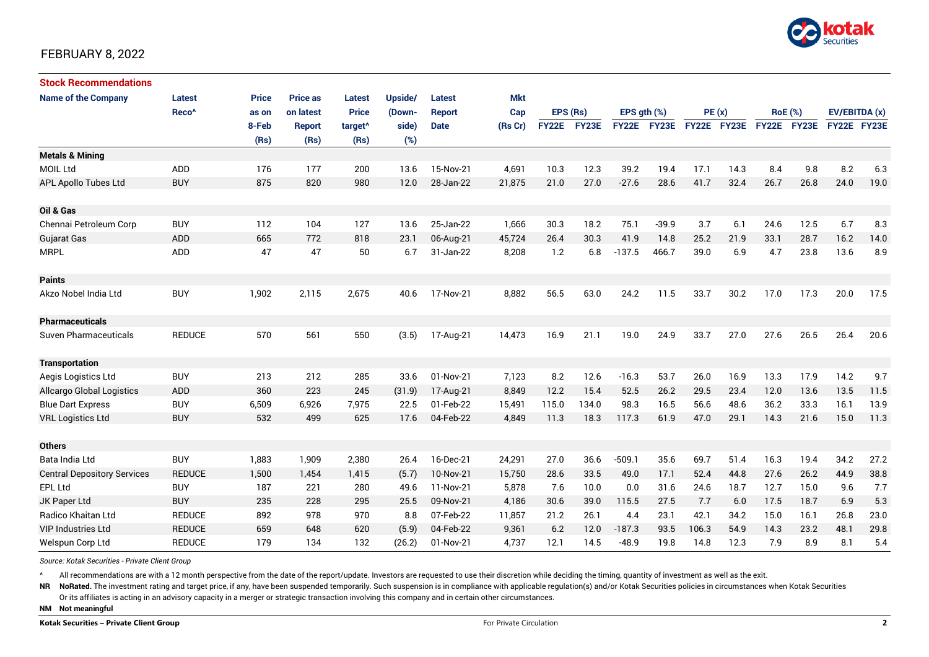

| <b>Stock Recommendations</b>       |                   |              |                 |                     |         |               |            |          |             |                  |             |             |      |                |             |               |      |
|------------------------------------|-------------------|--------------|-----------------|---------------------|---------|---------------|------------|----------|-------------|------------------|-------------|-------------|------|----------------|-------------|---------------|------|
| <b>Name of the Company</b>         | <b>Latest</b>     | <b>Price</b> | <b>Price as</b> | <b>Latest</b>       | Upside/ | Latest        | <b>Mkt</b> |          |             |                  |             |             |      |                |             |               |      |
|                                    | Reco <sup>^</sup> | as on        | on latest       | <b>Price</b>        | (Down-  | <b>Report</b> | Cap        | EPS (Rs) |             | EPS $qth$ $(\%)$ |             | PE(x)       |      | <b>RoE</b> (%) |             | EV/EBITDA (x) |      |
|                                    |                   | 8-Feb        | <b>Report</b>   | target <sup>^</sup> | side)   | <b>Date</b>   | (Rs Cr)    |          | FY22E FY23E |                  | FY22E FY23E | FY22E FY23E |      |                | FY22E FY23E | FY22E FY23E   |      |
|                                    |                   | (Rs)         | (Rs)            | (Rs)                | (%)     |               |            |          |             |                  |             |             |      |                |             |               |      |
| <b>Metals &amp; Mining</b>         |                   |              |                 |                     |         |               |            |          |             |                  |             |             |      |                |             |               |      |
| <b>MOIL Ltd</b>                    | ADD               | 176          | 177             | 200                 | 13.6    | 15-Nov-21     | 4,691      | 10.3     | 12.3        | 39.2             | 19.4        | 17.1        | 14.3 | 8.4            | 9.8         | 8.2           | 6.3  |
| <b>APL Apollo Tubes Ltd</b>        | <b>BUY</b>        | 875          | 820             | 980                 | 12.0    | 28-Jan-22     | 21,875     | 21.0     | 27.0        | $-27.6$          | 28.6        | 41.7        | 32.4 | 26.7           | 26.8        | 24.0          | 19.0 |
|                                    |                   |              |                 |                     |         |               |            |          |             |                  |             |             |      |                |             |               |      |
| Oil & Gas                          |                   |              |                 |                     |         |               |            |          |             |                  |             |             |      |                |             |               |      |
| Chennai Petroleum Corp             | <b>BUY</b>        | 112          | 104             | 127                 | 13.6    | 25-Jan-22     | 1,666      | 30.3     | 18.2        | 75.1             | $-39.9$     | 3.7         | 6.1  | 24.6           | 12.5        | 6.7           | 8.3  |
| <b>Gujarat Gas</b>                 | ADD               | 665          | 772             | 818                 | 23.1    | 06-Aug-21     | 45,724     | 26.4     | 30.3        | 41.9             | 14.8        | 25.2        | 21.9 | 33.1           | 28.7        | 16.2          | 14.0 |
| <b>MRPL</b>                        | ADD               | 47           | 47              | 50                  | 6.7     | 31-Jan-22     | 8,208      | 1.2      | 6.8         | $-137.5$         | 466.7       | 39.0        | 6.9  | 4.7            | 23.8        | 13.6          | 8.9  |
|                                    |                   |              |                 |                     |         |               |            |          |             |                  |             |             |      |                |             |               |      |
| <b>Paints</b>                      |                   |              |                 |                     |         |               |            |          |             |                  |             |             |      |                |             |               |      |
| Akzo Nobel India Ltd               | <b>BUY</b>        | 1,902        | 2,115           | 2,675               | 40.6    | 17-Nov-21     | 8,882      | 56.5     | 63.0        | 24.2             | 11.5        | 33.7        | 30.2 | 17.0           | 17.3        | 20.0          | 17.5 |
|                                    |                   |              |                 |                     |         |               |            |          |             |                  |             |             |      |                |             |               |      |
| <b>Pharmaceuticals</b>             |                   |              |                 |                     |         |               |            |          |             |                  |             |             |      |                |             |               |      |
| <b>Suven Pharmaceuticals</b>       | <b>REDUCE</b>     | 570          | 561             | 550                 | (3.5)   | 17-Aug-21     | 14,473     | 16.9     | 21.1        | 19.0             | 24.9        | 33.7        | 27.0 | 27.6           | 26.5        | 26.4          | 20.6 |
|                                    |                   |              |                 |                     |         |               |            |          |             |                  |             |             |      |                |             |               |      |
| <b>Transportation</b>              |                   |              |                 |                     |         |               |            |          |             |                  |             |             |      |                |             |               |      |
| Aegis Logistics Ltd                | <b>BUY</b>        | 213          | 212             | 285                 | 33.6    | 01-Nov-21     | 7,123      | 8.2      | 12.6        | $-16.3$          | 53.7        | 26.0        | 16.9 | 13.3           | 17.9        | 14.2          | 9.7  |
| Allcargo Global Logistics          | ADD               | 360          | 223             | 245                 | (31.9)  | 17-Aug-21     | 8,849      | 12.2     | 15.4        | 52.5             | 26.2        | 29.5        | 23.4 | 12.0           | 13.6        | 13.5          | 11.5 |
| <b>Blue Dart Express</b>           | <b>BUY</b>        | 6,509        | 6,926           | 7,975               | 22.5    | 01-Feb-22     | 15,491     | 115.0    | 134.0       | 98.3             | 16.5        | 56.6        | 48.6 | 36.2           | 33.3        | 16.1          | 13.9 |
| <b>VRL Logistics Ltd</b>           | <b>BUY</b>        | 532          | 499             | 625                 | 17.6    | 04-Feb-22     | 4,849      | 11.3     | 18.3        | 117.3            | 61.9        | 47.0        | 29.1 | 14.3           | 21.6        | 15.0          | 11.3 |
|                                    |                   |              |                 |                     |         |               |            |          |             |                  |             |             |      |                |             |               |      |
| <b>Others</b>                      |                   |              |                 |                     |         |               |            |          |             |                  |             |             |      |                |             |               |      |
| Bata India Ltd                     | <b>BUY</b>        | 1,883        | 1,909           | 2,380               | 26.4    | 16-Dec-21     | 24,291     | 27.0     | 36.6        | $-509.1$         | 35.6        | 69.7        | 51.4 | 16.3           | 19.4        | 34.2          | 27.2 |
| <b>Central Depository Services</b> | <b>REDUCE</b>     | 1,500        | 1.454           | 1,415               | (5.7)   | 10-Nov-21     | 15,750     | 28.6     | 33.5        | 49.0             | 17.1        | 52.4        | 44.8 | 27.6           | 26.2        | 44.9          | 38.8 |
| <b>EPL Ltd</b>                     | <b>BUY</b>        | 187          | 221             | 280                 | 49.6    | 11-Nov-21     | 5,878      | 7.6      | 10.0        | 0.0              | 31.6        | 24.6        | 18.7 | 12.7           | 15.0        | 9.6           | 7.7  |
| JK Paper Ltd                       | <b>BUY</b>        | 235          | 228             | 295                 | 25.5    | 09-Nov-21     | 4,186      | 30.6     | 39.0        | 115.5            | 27.5        | 7.7         | 6.0  | 17.5           | 18.7        | 6.9           | 5.3  |
| Radico Khaitan Ltd                 | <b>REDUCE</b>     | 892          | 978             | 970                 | 8.8     | 07-Feb-22     | 11,857     | 21.2     | 26.1        | 4.4              | 23.1        | 42.1        | 34.2 | 15.0           | 16.1        | 26.8          | 23.0 |
| <b>VIP Industries Ltd</b>          | <b>REDUCE</b>     | 659          | 648             | 620                 | (5.9)   | 04-Feb-22     | 9,361      | 6.2      | 12.0        | $-187.3$         | 93.5        | 106.3       | 54.9 | 14.3           | 23.2        | 48.1          | 29.8 |
| Welspun Corp Ltd                   | <b>REDUCE</b>     | 179          | 134             | 132                 | (26.2)  | 01-Nov-21     | 4,737      | 12.1     | 14.5        | $-48.9$          | 19.8        | 14.8        | 12.3 | 7.9            | 8.9         | 8.1           | 5.4  |

*Source: Kotak Securities - Private Client Group*

All recommendations are with a 12 month perspective from the date of the report/update. Investors are requested to use their discretion while deciding the timing, quantity of investment as well as the exit.

NR NoRated. The investment rating and target price, if any, have been suspended temporarily. Such suspension is in compliance with applicable regulation(s) and/or Kotak Securities policies in circumstances when Kotak Secur

Or its affiliates is acting in an advisory capacity in a merger or strategic transaction involving this company and in certain other circumstances.

**NM Not meaningful**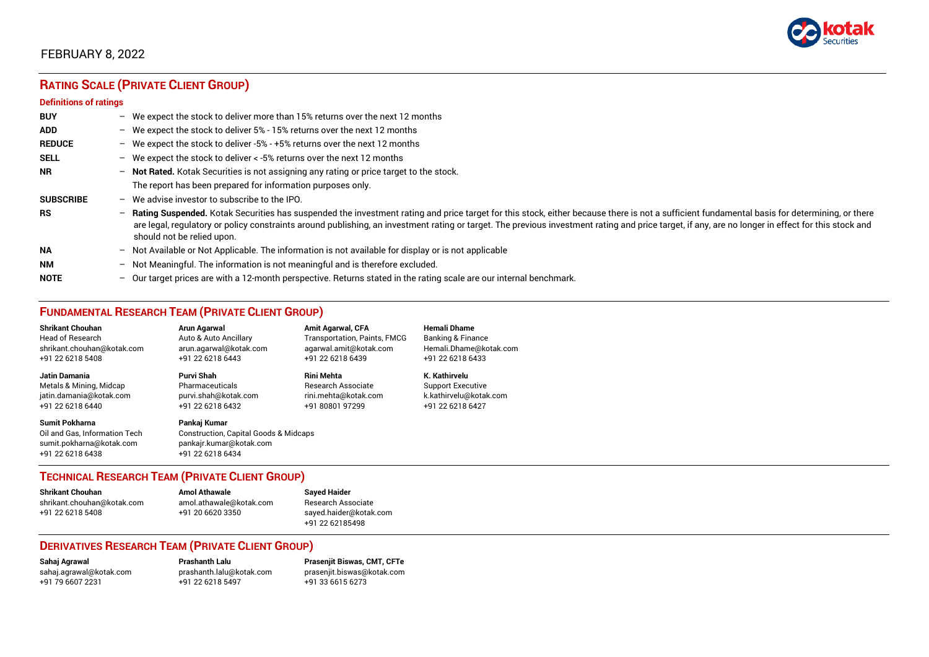

# **RATING SCALE (PRIVATE CLIENT GROUP)**

#### **Definitions of ratings**

| <b>BUY</b>       |   | - We expect the stock to deliver more than 15% returns over the next 12 months                                                                                                                                                                                                                                                                                                                                                     |
|------------------|---|------------------------------------------------------------------------------------------------------------------------------------------------------------------------------------------------------------------------------------------------------------------------------------------------------------------------------------------------------------------------------------------------------------------------------------|
| <b>ADD</b>       |   | - We expect the stock to deliver 5% - 15% returns over the next 12 months                                                                                                                                                                                                                                                                                                                                                          |
| <b>REDUCE</b>    |   | - We expect the stock to deliver -5% - +5% returns over the next 12 months                                                                                                                                                                                                                                                                                                                                                         |
| <b>SELL</b>      |   | - We expect the stock to deliver $\lt$ -5% returns over the next 12 months                                                                                                                                                                                                                                                                                                                                                         |
| <b>NR</b>        |   | - Not Rated. Kotak Securities is not assigning any rating or price target to the stock.                                                                                                                                                                                                                                                                                                                                            |
|                  |   | The report has been prepared for information purposes only.                                                                                                                                                                                                                                                                                                                                                                        |
| <b>SUBSCRIBE</b> |   | $-$ We advise investor to subscribe to the IPO.                                                                                                                                                                                                                                                                                                                                                                                    |
| <b>RS</b>        |   | - Rating Suspended. Kotak Securities has suspended the investment rating and price target for this stock, either because there is not a sufficient fundamental basis for determining, or there<br>are legal, regulatory or policy constraints around publishing, an investment rating or target. The previous investment rating and price target, if any, are no longer in effect for this stock and<br>should not be relied upon. |
| <b>NA</b>        |   | $-$ Not Available or Not Applicable. The information is not available for display or is not applicable                                                                                                                                                                                                                                                                                                                             |
| <b>NM</b>        |   | - Not Meaningful. The information is not meaningful and is therefore excluded.                                                                                                                                                                                                                                                                                                                                                     |
| <b>NOTE</b>      | - | Our target prices are with a 12-month perspective. Returns stated in the rating scale are our internal benchmark.                                                                                                                                                                                                                                                                                                                  |

## **FUNDAMENTAL RESEARCH TEAM (PRIVATE CLIENT GROUP)**

| <b>Shrikant Chouhan</b>                                                                                | Arun Agarwal                                                                                                    | <b>Amit Agarwal, CFA</b>     | <b>Hemali Dhame</b>      |
|--------------------------------------------------------------------------------------------------------|-----------------------------------------------------------------------------------------------------------------|------------------------------|--------------------------|
| <b>Head of Research</b>                                                                                | Auto & Auto Ancillary                                                                                           | Transportation, Paints, FMCG | Banking & Finance        |
| shrikant.chouhan@kotak.com                                                                             | arun.agarwal@kotak.com                                                                                          | agarwal.amit@kotak.com       | Hemali.Dhame@kotak.com   |
| +91 22 6218 5408                                                                                       | +91 22 6218 6443                                                                                                | +91 22 6218 6439             | +91 22 6218 6433         |
| <b>Jatin Damania</b>                                                                                   | <b>Purvi Shah</b>                                                                                               | <b>Rini Mehta</b>            | K. Kathirvelu            |
| Metals & Mining, Midcap                                                                                | Pharmaceuticals                                                                                                 | Research Associate           | <b>Support Executive</b> |
| jatin.damania@kotak.com                                                                                | purvi.shah@kotak.com                                                                                            | rini.mehta@kotak.com         | k.kathirvelu@kotak.com   |
| +91 22 6218 6440                                                                                       | +91 22 6218 6432                                                                                                | +91 80801 97299              | +91 22 6218 6427         |
| <b>Sumit Pokharna</b><br>Oil and Gas. Information Tech<br>sumit.pokharna@kotak.com<br>+91 22 6218 6438 | Pankaj Kumar<br><b>Construction, Capital Goods &amp; Midcaps</b><br>pankajr.kumar@kotak.com<br>+91 22 6218 6434 |                              |                          |

### **TECHNICAL RESEARCH TEAM (PRIVATE CLIENT GROUP)**

| <b>Shrikant Chouhan</b>    | <b>Amol Athawale</b>    |   |
|----------------------------|-------------------------|---|
| shrikant.chouhan@kotak.com | amol.athawale@kotak.com |   |
| +91 22 6218 5408           | +91 20 6620 3350        | S |
|                            |                         |   |

#### **Shrikant Chouhan Amol Athawale Sayed Haider** Research Associate [sayed.haider@kotak.com](mailto:sayed.haider@kotak.com) +91 22 62185498

### **DERIVATIVES RESEARCH TEAM (PRIVATE CLIENT GROUP)**

+91 22 6218 5497 +91 33 6615 6273

**Sahaj Agrawal Prashanth Lalu Prasenjit Biswas, CMT, CFTe** [sahaj.agrawal@kotak.com](mailto:sahaj.agrawal@kotak.com) [prashanth.lalu@kotak.com](mailto:prashanth.lalu@kotak.com) [prasenjit.biswas@kotak.com](mailto:prasenjit.biswas@kotak.com)